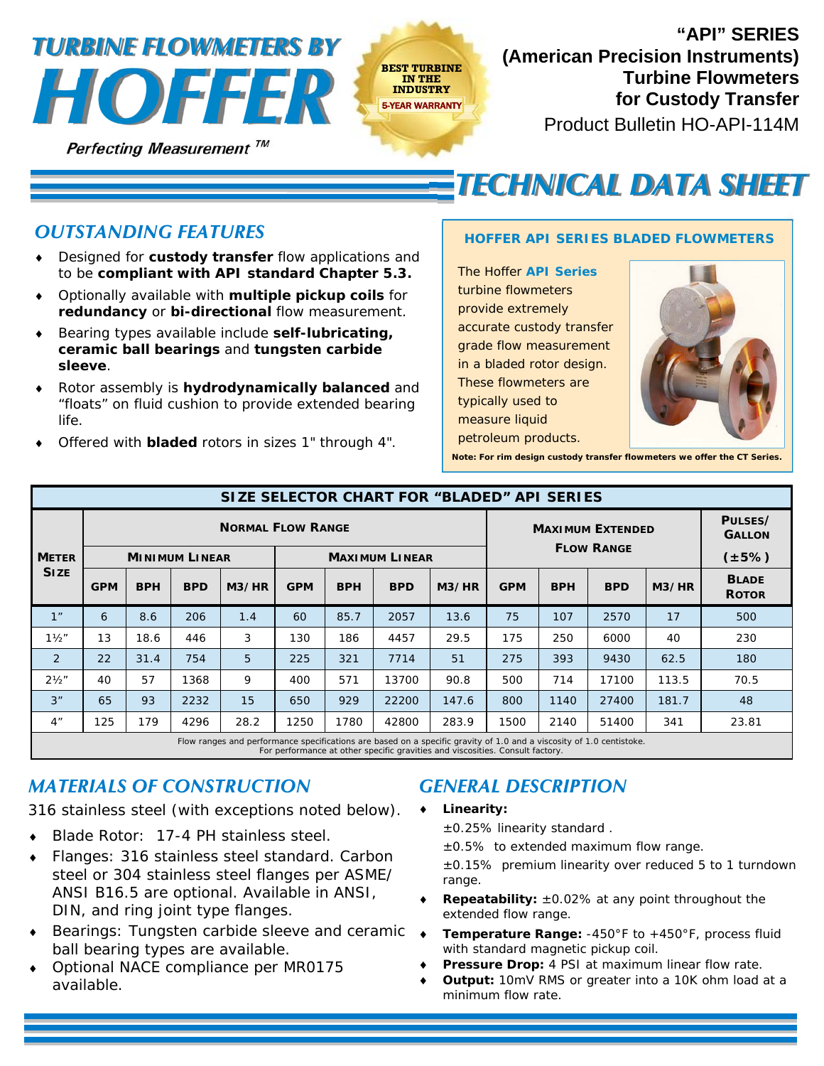# **EXAMPLE AND SESTIVE FOR STRANGER AND THE PROPERTY FOR A FINDISTRY** *HOUSTRY HOUSTRY HOUSTRY HOUSTRY HOUSTRY HOUSTRY HOUSTRY HOUSTRY HOUSTRY HOUSTRY HOUSTRY HOUSTRY HOUSTRY TURBINE FLOWMETERS BY*

**Perfecting Measurement TM** 



Product Bulletin HO-API-114M **"API" SERIES (American Precision Instruments)** 

# *TECHNICAL DATA SHEET*

## *OUTSTANDING FEATURES*

- Designed for **custody transfer** flow applications and to be **compliant with API standard Chapter 5.3.**
- Optionally available with **multiple pickup coils** for **redundancy** or **bi-directional** flow measurement.
- Bearing types available include **self-lubricating, ceramic ball bearings** and **tungsten carbide sleeve**.
- Rotor assembly is **hydrodynamically balanced** and "floats" on fluid cushion to provide extended bearing life.
- Offered with **bladed** rotors in sizes 1" through 4".

#### *HOFFER API SERIES BLADED FLOWMETERS*

The Hoffer *API Series* turbine flowmeters provide extremely accurate custody transfer grade flow measurement in a bladed rotor design. These flowmeters are typically used to measure liquid petroleum products.



**Note: For rim design custody transfer flowmeters we offer the CT Series.** 

| SIZE SELECTOR CHART FOR "BLADED" API SERIES |                                                                                                                      |            |            |       |                       |            |            |       |                         |            |            |       |                              |
|---------------------------------------------|----------------------------------------------------------------------------------------------------------------------|------------|------------|-------|-----------------------|------------|------------|-------|-------------------------|------------|------------|-------|------------------------------|
|                                             | <b>NORMAL FLOW RANGE</b>                                                                                             |            |            |       |                       |            |            |       | <b>MAXIMUM EXTENDED</b> |            |            |       | PULSES/<br><b>GALLON</b>     |
| <b>METER</b><br><b>SIZE</b>                 | <b>MINIMUM LINEAR</b>                                                                                                |            |            |       | <b>MAXIMUM LINEAR</b> |            |            |       | <b>FLOW RANGE</b>       |            |            |       | $(\pm 5\%)$                  |
|                                             | <b>GPM</b>                                                                                                           | <b>BPH</b> | <b>BPD</b> | M3/HR | <b>GPM</b>            | <b>BPH</b> | <b>BPD</b> | M3/HR | <b>GPM</b>              | <b>BPH</b> | <b>BPD</b> | M3/HR | <b>BLADE</b><br><b>ROTOR</b> |
| 1"                                          | 6                                                                                                                    | 8.6        | 206        | 1.4   | 60                    | 85.7       | 2057       | 13.6  | 75                      | 107        | 2570       | 17    | 500                          |
| $1\frac{1}{2}$                              | 13                                                                                                                   | 18.6       | 446        | 3     | 130                   | 186        | 4457       | 29.5  | 175                     | 250        | 6000       | 40    | 230                          |
| 2                                           | 22                                                                                                                   | 31.4       | 754        | 5     | 225                   | 321        | 7714       | 51    | 275                     | 393        | 9430       | 62.5  | 180                          |
| $2\frac{1}{2}$ "                            | 40                                                                                                                   | 57         | 1368       | 9     | 400                   | 571        | 13700      | 90.8  | 500                     | 714        | 17100      | 113.5 | 70.5                         |
| 3"                                          | 65                                                                                                                   | 93         | 2232       | 15    | 650                   | 929        | 22200      | 147.6 | 800                     | 1140       | 27400      | 181.7 | 48                           |
| 4"                                          | 125                                                                                                                  | 179        | 4296       | 28.2  | 1250                  | 1780       | 42800      | 283.9 | 1500                    | 2140       | 51400      | 341   | 23.81                        |
|                                             | Flow ranges and performance specifications are based on a specific gravity of 1.0 and a viscosity of 1.0 centistoke. |            |            |       |                       |            |            |       |                         |            |            |       |                              |

For performance at other specific gravities and viscosities. Consult factory.

### *MATERIALS OF CONSTRUCTION*

316 stainless steel (with exceptions noted below).

- Blade Rotor: 17-4 PH stainless steel.
- Flanges: 316 stainless steel standard. Carbon steel or 304 stainless steel flanges per ASME/ ANSI B16.5 are optional. Available in ANSI, DIN, and ring joint type flanges.
- ◆ Bearings: Tungsten carbide sleeve and ceramic ◆ ball bearing types are available.
- Optional NACE compliance per MR0175 available.

# *GENERAL DESCRIPTION*

**Linearity:**

±0.25% linearity standard .

- $±0.5%$  to extended maximum flow range.
- ±0.15% premium linearity over reduced 5 to 1 turndown range.
- **Repeatability:** ±0.02% at any point throughout the extended flow range.
- **Temperature Range:** -450°F to +450°F, process fluid with standard magnetic pickup coil.
- Pressure Drop: 4 PSI at maximum linear flow rate.
- **Output:** 10mV RMS or greater into a 10K ohm load at a minimum flow rate.